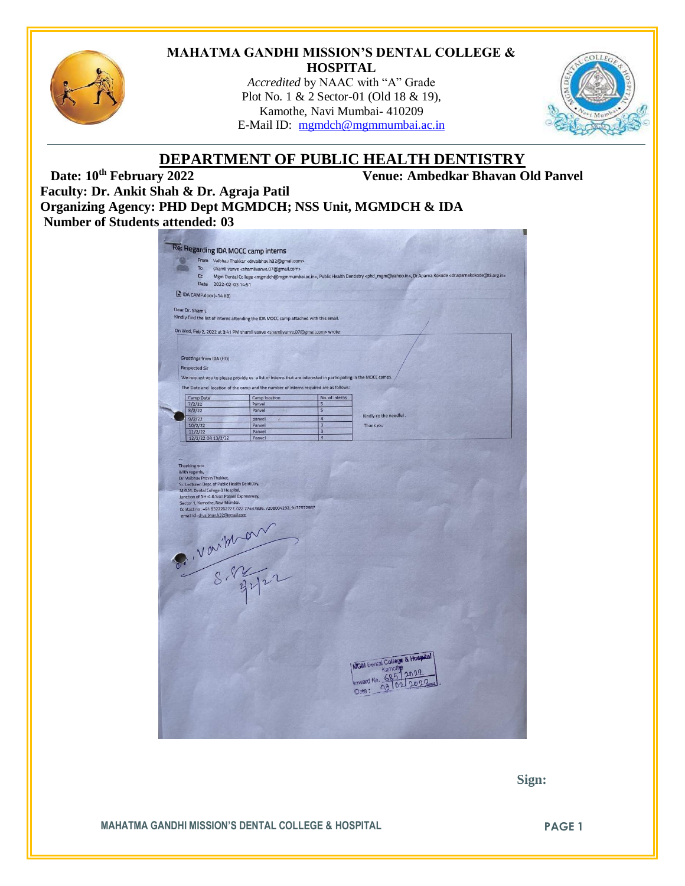

# **MAHATMA GANDHI MISSION'S DENTAL COLLEGE & HOSPITAL**

*Accredited* by NAAC with "A" Grade Plot No. 1 & 2 Sector-01 (Old 18 & 19), Kamothe, Navi Mumbai- 410209 E-Mail ID: [mgmdch@mgmmumbai.ac.in](mailto:mgmdch@mgmmumbai.ac.in)



# **DEPARTMENT OF PUBLIC HEALTH DENTISTRY**<br>Venue: Ambedkar Bhavan O

**Venue: Ambedkar Bhavan Old Panvel** 

**Faculty: Dr. Ankit Shah & Dr. Agraja Patil Organizing Agency: PHD Dept MGMDCH; NSS Unit, MGMDCH & IDA Number of Students attended: 03**

|                                |                      | From Vaibhav Thakkar <drvaibhav.h32@gmail.com></drvaibhav.h32@gmail.com>                                            |                                                                                                               |                                  |                                                                                                                                                                                                                 |  |
|--------------------------------|----------------------|---------------------------------------------------------------------------------------------------------------------|---------------------------------------------------------------------------------------------------------------|----------------------------------|-----------------------------------------------------------------------------------------------------------------------------------------------------------------------------------------------------------------|--|
|                                | To<br>C <sub>c</sub> |                                                                                                                     | shamli vanve <shamlivanve.07@gmail.com></shamlivanve.07@gmail.com>                                            |                                  |                                                                                                                                                                                                                 |  |
|                                |                      | Date 2022-02-03 14:51                                                                                               |                                                                                                               |                                  | Mgm Dental College <mgmdch@mgmmumbai.ac.in>, Public Health Dentistry <phd_mgm@yahoo.in>, Dr.Aparna Kokode <dr.aparnakokode@tii.org.in></dr.aparnakokode@tii.org.in></phd_mgm@yahoo.in></mgmdch@mgmmumbai.ac.in> |  |
|                                |                      |                                                                                                                     |                                                                                                               |                                  |                                                                                                                                                                                                                 |  |
|                                |                      | DA CAMP.docx (~14 KB)                                                                                               |                                                                                                               |                                  |                                                                                                                                                                                                                 |  |
| Dear Dr. Shamli,               |                      |                                                                                                                     |                                                                                                               |                                  |                                                                                                                                                                                                                 |  |
|                                |                      |                                                                                                                     | Kindly find the list of interns attending the IDA MOCC camp attached with this email.                         |                                  |                                                                                                                                                                                                                 |  |
|                                |                      |                                                                                                                     |                                                                                                               |                                  |                                                                                                                                                                                                                 |  |
|                                |                      |                                                                                                                     | On Wed, Feb 2, 2022 at 3:41 PM shamli vanve <shamlivanve.07@gmail.com> wrote:</shamlivanve.07@gmail.com>      |                                  |                                                                                                                                                                                                                 |  |
|                                |                      |                                                                                                                     |                                                                                                               |                                  |                                                                                                                                                                                                                 |  |
|                                |                      | Greetings from IDA (HO)                                                                                             |                                                                                                               |                                  |                                                                                                                                                                                                                 |  |
|                                |                      |                                                                                                                     |                                                                                                               |                                  |                                                                                                                                                                                                                 |  |
|                                | <b>Respected Sir</b> |                                                                                                                     |                                                                                                               |                                  |                                                                                                                                                                                                                 |  |
|                                |                      |                                                                                                                     | We request you to please provide us a list of interns that are interested in participating in the MOCC camps. |                                  |                                                                                                                                                                                                                 |  |
|                                |                      |                                                                                                                     | The Date and location of the camp and the number of interns required are as follows:                          |                                  |                                                                                                                                                                                                                 |  |
|                                | Camp Date            |                                                                                                                     | Camp location                                                                                                 | No. of interns                   |                                                                                                                                                                                                                 |  |
|                                | 7/2/22<br>8/2/22     |                                                                                                                     | Panvel<br>Panyel                                                                                              | 5<br>$\overline{\mathbf{5}}$     |                                                                                                                                                                                                                 |  |
|                                | 9/2/22               |                                                                                                                     | panvel                                                                                                        | $\overline{4}$                   | Kindly do the needful.                                                                                                                                                                                          |  |
|                                | 10/2/22              |                                                                                                                     | Panvel                                                                                                        | $\overline{3}$                   | Thank you                                                                                                                                                                                                       |  |
|                                | 11/2/22              |                                                                                                                     | Panvel                                                                                                        | $\overline{3}$<br>$\overline{4}$ |                                                                                                                                                                                                                 |  |
|                                |                      | 12/2/22 OR 13/2/22                                                                                                  | Panvel                                                                                                        |                                  |                                                                                                                                                                                                                 |  |
| Thanking you.<br>With regards, |                      | Dr. Vaibhav Pravin Thakkar,<br>Sr. Lecturer, Dept. of Public Health Dentistry,<br>M.G.M. Dental College & Hospital, |                                                                                                               |                                  |                                                                                                                                                                                                                 |  |
|                                |                      | Junction of NH-4 & Sion Panvel Expressway,<br>Sector 1, Kamothe, Navi Mumbai.                                       | Contact no: +91 9322262227, 022 27437836, 7208004232, 9137572987                                              |                                  |                                                                                                                                                                                                                 |  |
|                                |                      | email id : drvaibhav.h32@gmail.com                                                                                  |                                                                                                               |                                  |                                                                                                                                                                                                                 |  |
|                                |                      |                                                                                                                     |                                                                                                               |                                  |                                                                                                                                                                                                                 |  |
|                                |                      |                                                                                                                     |                                                                                                               |                                  |                                                                                                                                                                                                                 |  |
|                                |                      |                                                                                                                     |                                                                                                               |                                  |                                                                                                                                                                                                                 |  |
|                                |                      |                                                                                                                     |                                                                                                               |                                  |                                                                                                                                                                                                                 |  |
|                                |                      |                                                                                                                     |                                                                                                               |                                  |                                                                                                                                                                                                                 |  |
|                                |                      |                                                                                                                     |                                                                                                               |                                  |                                                                                                                                                                                                                 |  |
|                                |                      |                                                                                                                     |                                                                                                               |                                  |                                                                                                                                                                                                                 |  |
|                                |                      |                                                                                                                     |                                                                                                               |                                  |                                                                                                                                                                                                                 |  |
|                                |                      |                                                                                                                     |                                                                                                               |                                  |                                                                                                                                                                                                                 |  |
|                                |                      |                                                                                                                     | P. Varithan                                                                                                   |                                  |                                                                                                                                                                                                                 |  |
|                                |                      |                                                                                                                     |                                                                                                               |                                  |                                                                                                                                                                                                                 |  |
|                                |                      |                                                                                                                     |                                                                                                               |                                  |                                                                                                                                                                                                                 |  |
|                                |                      |                                                                                                                     |                                                                                                               |                                  |                                                                                                                                                                                                                 |  |
|                                |                      |                                                                                                                     |                                                                                                               |                                  |                                                                                                                                                                                                                 |  |
|                                |                      |                                                                                                                     |                                                                                                               |                                  |                                                                                                                                                                                                                 |  |
|                                |                      |                                                                                                                     |                                                                                                               |                                  | MGM Dental College & Hospital<br>Kamothe                                                                                                                                                                        |  |
|                                |                      |                                                                                                                     |                                                                                                               |                                  |                                                                                                                                                                                                                 |  |
|                                |                      |                                                                                                                     |                                                                                                               |                                  | Inward No. 685<br>Date:                                                                                                                                                                                         |  |

 **Sign:**

**MAHATMA GANDHI MISSION'S DENTAL COLLEGE & HOSPITAL PAGE 1**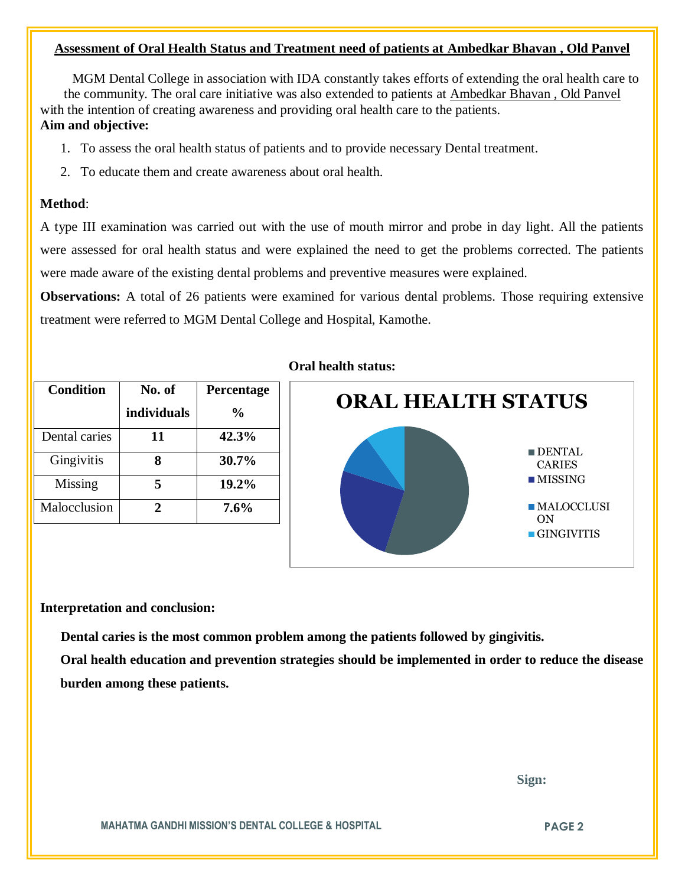# **Assessment of Oral Health Status and Treatment need of patients at Ambedkar Bhavan , Old Panvel**

 MGM Dental College in association with IDA constantly takes efforts of extending the oral health care to the community. The oral care initiative was also extended to patients at Ambedkar Bhavan , Old Panvel with the intention of creating awareness and providing oral health care to the patients. **Aim and objective:** 

- 1. To assess the oral health status of patients and to provide necessary Dental treatment.
- 2. To educate them and create awareness about oral health.

# **Method**:

A type III examination was carried out with the use of mouth mirror and probe in day light. All the patients were assessed for oral health status and were explained the need to get the problems corrected. The patients were made aware of the existing dental problems and preventive measures were explained.

**Observations:** A total of 26 patients were examined for various dental problems. Those requiring extensive treatment were referred to MGM Dental College and Hospital, Kamothe.

| <b>Condition</b> | No. of      | Percentage     |
|------------------|-------------|----------------|
|                  | individuals | $\frac{6}{10}$ |
| Dental caries    | 11          | 42.3%          |
| Gingivitis       |             | 30.7%          |
| Missing          | 5           | 19.2%          |
| Malocclusion     | 2           | $7.6\%$        |

# **Oral health status:**



# **Interpretation and conclusion:**

 **Dental caries is the most common problem among the patients followed by gingivitis.**

**Oral health education and prevention strategies should be implemented in order to reduce the disease burden among these patients.**

 **Sign:**

**MAHATMA GANDHI MISSION'S DENTAL COLLEGE & HOSPITAL PAGE 2**